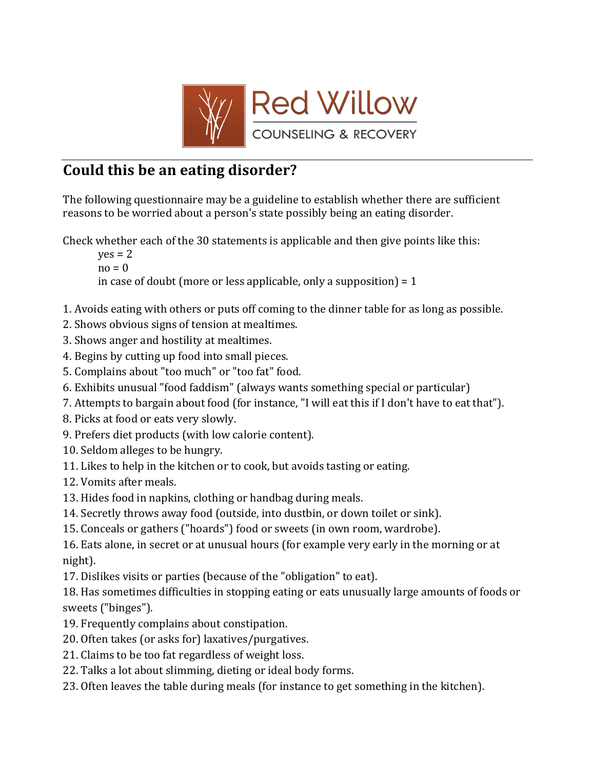

## Could this be an eating disorder?

The following questionnaire may be a guideline to establish whether there are sufficient reasons to be worried about a person's state possibly being an eating disorder.

Check whether each of the 30 statements is applicable and then give points like this:

 $ves = 2$  $no = 0$ in case of doubt (more or less applicable, only a supposition)  $= 1$ 

- 1. Avoids eating with others or puts off coming to the dinner table for as long as possible.
- 2. Shows obvious signs of tension at mealtimes.
- 3. Shows anger and hostility at mealtimes.
- 4. Begins by cutting up food into small pieces.
- 5. Complains about "too much" or "too fat" food.
- 6. Exhibits unusual "food faddism" (always wants something special or particular)
- 7. Attempts to bargain about food (for instance, "I will eat this if I don't have to eat that").
- 8. Picks at food or eats very slowly.
- 9. Prefers diet products (with low calorie content).
- 10. Seldom alleges to be hungry.
- 11. Likes to help in the kitchen or to cook, but avoids tasting or eating.
- 12. Vomits after meals.
- 13. Hides food in napkins, clothing or handbag during meals.
- 14. Secretly throws away food (outside, into dustbin, or down toilet or sink).
- 15. Conceals or gathers ("hoards") food or sweets (in own room, wardrobe).

16. Eats alone, in secret or at unusual hours (for example very early in the morning or at night).

17. Dislikes visits or parties (because of the "obligation" to eat).

18. Has sometimes difficulties in stopping eating or eats unusually large amounts of foods or sweets ("binges").

- 19. Frequently complains about constipation.
- 20. Often takes (or asks for) laxatives/purgatives.
- 21. Claims to be too fat regardless of weight loss.
- 22. Talks a lot about slimming, dieting or ideal body forms.
- 23. Often leaves the table during meals (for instance to get something in the kitchen).